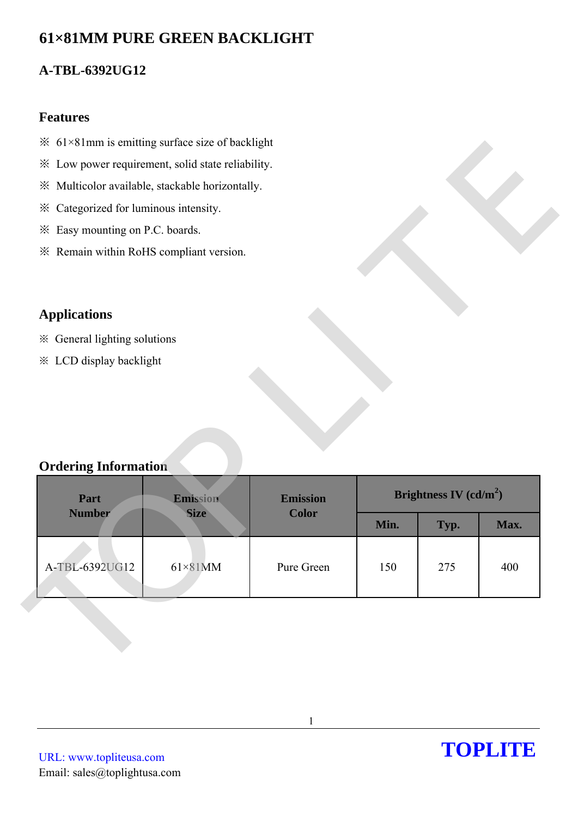# **61×81MM PURE GREEN BACKLIGHT**

# **A-TBL-6392UG12**

### **Features**

- $\frac{1}{2}$  61×81mm is emitting surface size of backlight
- ※ Low power requirement, solid state reliability.
- ※ Multicolor available, stackable horizontally.
- ※ Categorized for luminous intensity.
- ※ Easy mounting on P.C. boards.
- ※ Remain within RoHS compliant version.

## **Applications**

- ※ General lighting solutions
- ※ LCD display backlight

## **Ordering Information**

| * Low power requirement, solid state reliability. |                 |                 |      |                          |      |
|---------------------------------------------------|-----------------|-----------------|------|--------------------------|------|
| ※ Multicolor available, stackable horizontally.   |                 |                 |      |                          |      |
| * Categorized for luminous intensity.             |                 |                 |      |                          |      |
| * Easy mounting on P.C. boards.                   |                 |                 |      |                          |      |
| * Remain within RoHS compliant version.           |                 |                 |      |                          |      |
|                                                   |                 |                 |      |                          |      |
|                                                   |                 |                 |      |                          |      |
| <b>Applications</b>                               |                 |                 |      |                          |      |
| * General lighting solutions                      |                 |                 |      |                          |      |
| <b>※ LCD display backlight</b>                    |                 |                 |      |                          |      |
|                                                   |                 |                 |      |                          |      |
|                                                   |                 |                 |      |                          |      |
|                                                   |                 |                 |      |                          |      |
|                                                   |                 |                 |      |                          |      |
| <b>Ordering Information</b><br>Part               | Emission        | <b>Emission</b> |      | Brightness IV $(cd/m^2)$ |      |
| <b>Number</b>                                     | <b>Size</b>     | <b>Color</b>    | Min. | Typ.                     | Max. |
|                                                   |                 |                 |      |                          |      |
| A-TBL-6392UG12                                    | $61\times81$ MM | Pure Green      | 150  | 275                      | 400  |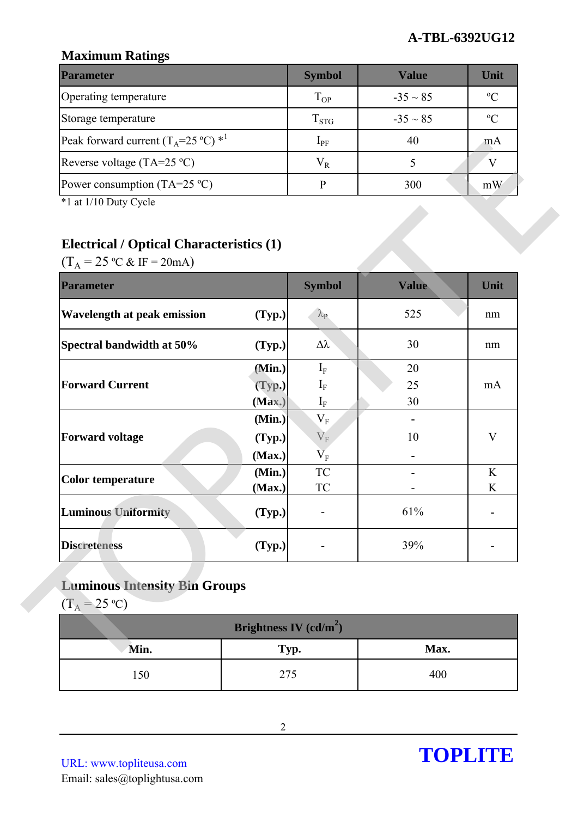## **Maximum Ratings**

| <b>Parameter</b>                                        | <b>Symbol</b> | <b>Value</b>  | Unit           |
|---------------------------------------------------------|---------------|---------------|----------------|
| Operating temperature                                   | $T_{OP}$      | $-35 \sim 85$ | $\mathcal{O}$  |
| Storage temperature                                     | $T_{STG}$     | $-35 \sim 85$ | $\mathfrak{O}$ |
| Peak forward current $(T_A=25 \degree C)$ <sup>*1</sup> | $1_{\rm PF}$  | 40            | m A            |
| Reverse voltage (TA=25 $^{\circ}$ C)                    | $V_{R}$       |               |                |
| Power consumption (TA=25 $^{\circ}$ C)                  |               | 300           | mW             |

# **Electrical / Optical Characteristics (1)**

| $\Gamma$ Can forward current ( $\Gamma_A$ - $\Gamma$ ) $\Gamma$                                                                   |                          | $\mathbf{1}$ PF                                  | 4V           | ШA           |
|-----------------------------------------------------------------------------------------------------------------------------------|--------------------------|--------------------------------------------------|--------------|--------------|
| Reverse voltage (TA=25 °C)                                                                                                        |                          | $V_R$                                            | 5            | V            |
| Power consumption $(TA=25 \degree C)$                                                                                             |                          | $\mathbf{P}$                                     | 300          | mW           |
| *1 at 1/10 Duty Cycle<br><b>Electrical / Optical Characteristics (1)</b><br>$(T_A = 25 \text{ °C} \& \text{ IF} = 20 \text{ mA})$ |                          |                                                  |              |              |
| <b>Parameter</b>                                                                                                                  |                          | <b>Symbol</b>                                    | <b>Value</b> | Unit         |
| <b>Wavelength at peak emission</b>                                                                                                | (Typ.)                   | $\lambda_{\rm P}$                                | 525          | nm           |
| Spectral bandwidth at 50%                                                                                                         | (Typ.)                   | $\Delta \lambda$                                 | 30           | nm           |
|                                                                                                                                   | (Min.)                   | $I_F$                                            | 20           |              |
| <b>Forward Current</b>                                                                                                            | (Typ.)                   | $I_F$                                            | 25           | mA           |
|                                                                                                                                   | (Max.)                   | $\mathbf{I}_{\text{F}}$                          | 30           |              |
|                                                                                                                                   | (Min.)                   | $\rm V_F$                                        |              |              |
| <b>Forward voltage</b>                                                                                                            | (Typ.)                   | $\mathbf{V}_\mathrm{F}$                          | 10           | $\mathbf{V}$ |
|                                                                                                                                   | (Max.)                   | $\overline{\mathsf{V}}_\mathrm{F}$<br>${\rm TC}$ |              | K            |
| <b>Color temperature</b>                                                                                                          | (Min.)<br>(Max.)         | <b>TC</b>                                        |              | K            |
| <b>Luminous Uniformity</b>                                                                                                        | (Typ.)                   |                                                  | 61%          |              |
| <b>Discreteness</b>                                                                                                               | (Typ.)                   |                                                  | 39%          | ٠            |
| <b>Luminous Intensity Bin Groups</b><br>$(T_A = 25 \text{ °C})$                                                                   | Brightness IV $(cd/m^2)$ |                                                  |              |              |
| Min.                                                                                                                              | Typ.                     |                                                  | Max.         |              |
|                                                                                                                                   |                          |                                                  |              |              |
| 150                                                                                                                               | 275                      |                                                  | 400          |              |

# **Luminous Intensity Bin Groups**

| <b>Brightness IV</b> $(cd/m^2)$ |      |      |  |  |
|---------------------------------|------|------|--|--|
| Min.                            | Typ. | Max. |  |  |
| 150                             | 275  | 400  |  |  |

URL: www.topliteusa.com Email: sales@toplightusa.com

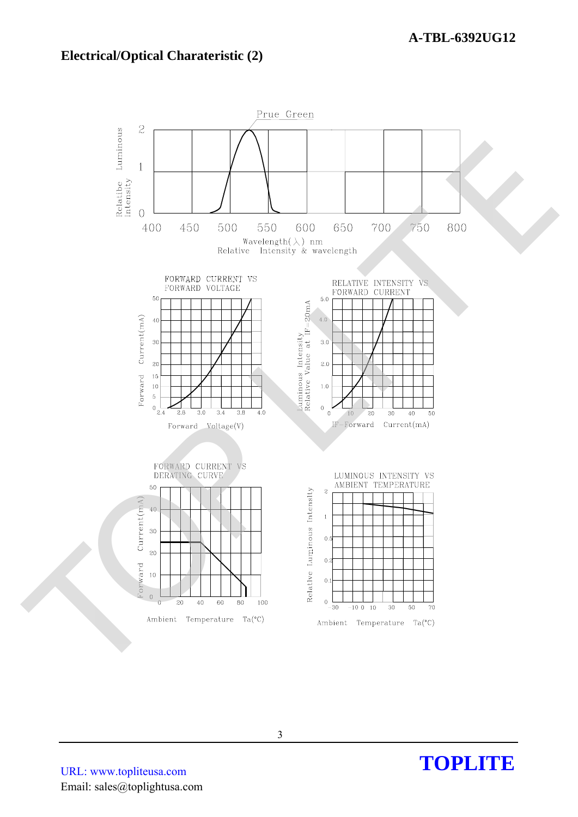### **Electrical/Optical Charateristic (2)**



URL: www.topliteusa.com Email: sales@toplightusa.com

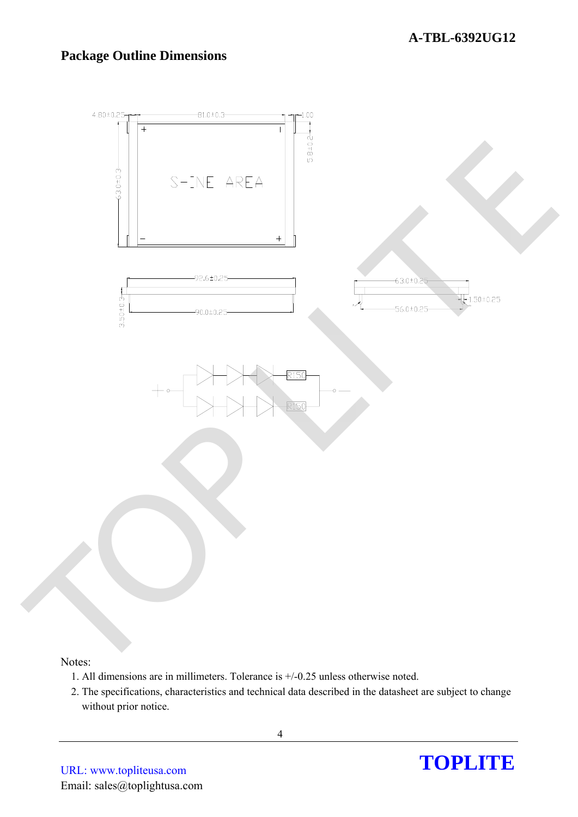### **Package Outline Dimensions**



#### Notes:

- 1. All dimensions are in millimeters. Tolerance is +/-0.25 unless otherwise noted.
- 2. The specifications, characteristics and technical data described in the datasheet are subject to change without prior notice.